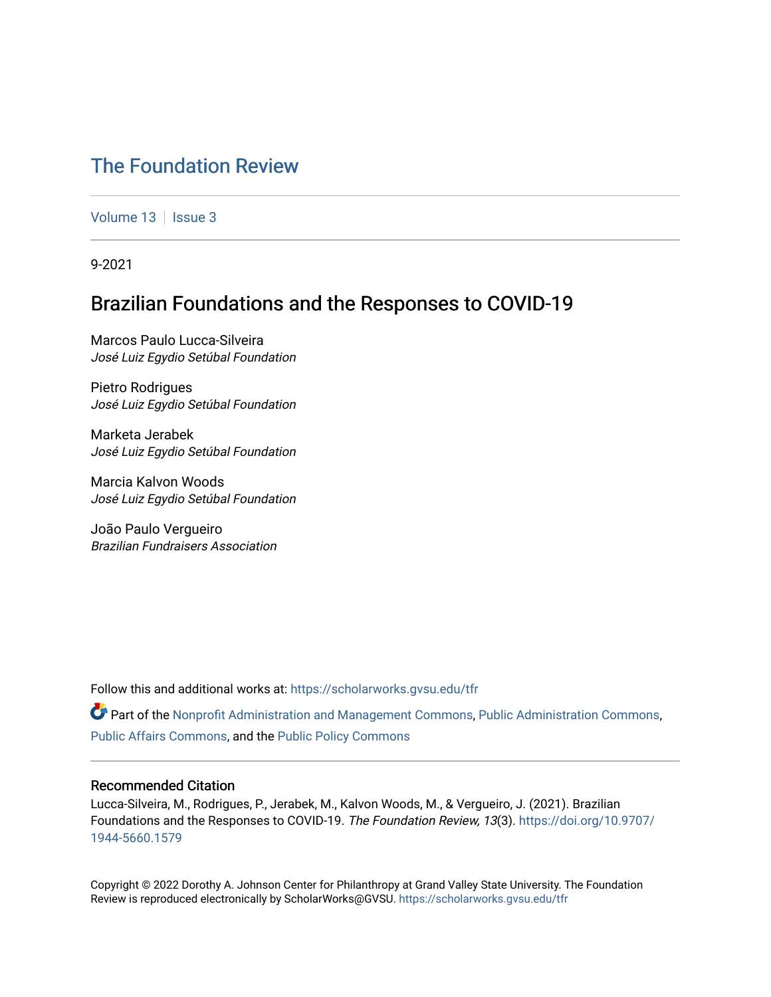# [The Foundation Review](https://scholarworks.gvsu.edu/tfr)

[Volume 13](https://scholarworks.gvsu.edu/tfr/vol13) | [Issue 3](https://scholarworks.gvsu.edu/tfr/vol13/iss3)

9-2021

# Brazilian Foundations and the Responses to COVID-19

Marcos Paulo Lucca-Silveira José Luiz Egydio Setúbal Foundation

Pietro Rodrigues José Luiz Egydio Setúbal Foundation

Marketa Jerabek José Luiz Egydio Setúbal Foundation

Marcia Kalvon Woods José Luiz Egydio Setúbal Foundation

João Paulo Vergueiro Brazilian Fundraisers Association

Follow this and additional works at: [https://scholarworks.gvsu.edu/tfr](https://scholarworks.gvsu.edu/tfr?utm_source=scholarworks.gvsu.edu%2Ftfr%2Fvol13%2Fiss3%2F9&utm_medium=PDF&utm_campaign=PDFCoverPages)

 $\bullet$  Part of the [Nonprofit Administration and Management Commons,](http://network.bepress.com/hgg/discipline/1228?utm_source=scholarworks.gvsu.edu%2Ftfr%2Fvol13%2Fiss3%2F9&utm_medium=PDF&utm_campaign=PDFCoverPages) [Public Administration Commons](http://network.bepress.com/hgg/discipline/398?utm_source=scholarworks.gvsu.edu%2Ftfr%2Fvol13%2Fiss3%2F9&utm_medium=PDF&utm_campaign=PDFCoverPages), [Public Affairs Commons](http://network.bepress.com/hgg/discipline/399?utm_source=scholarworks.gvsu.edu%2Ftfr%2Fvol13%2Fiss3%2F9&utm_medium=PDF&utm_campaign=PDFCoverPages), and the [Public Policy Commons](http://network.bepress.com/hgg/discipline/400?utm_source=scholarworks.gvsu.edu%2Ftfr%2Fvol13%2Fiss3%2F9&utm_medium=PDF&utm_campaign=PDFCoverPages) 

# Recommended Citation

Lucca-Silveira, M., Rodrigues, P., Jerabek, M., Kalvon Woods, M., & Vergueiro, J. (2021). Brazilian Foundations and the Responses to COVID-19. The Foundation Review, 13(3). [https://doi.org/10.9707/](https://doi.org/10.9707/1944-5660.1579) [1944-5660.1579](https://doi.org/10.9707/1944-5660.1579) 

Copyright © 2022 Dorothy A. Johnson Center for Philanthropy at Grand Valley State University. The Foundation Review is reproduced electronically by ScholarWorks@GVSU.<https://scholarworks.gvsu.edu/tfr>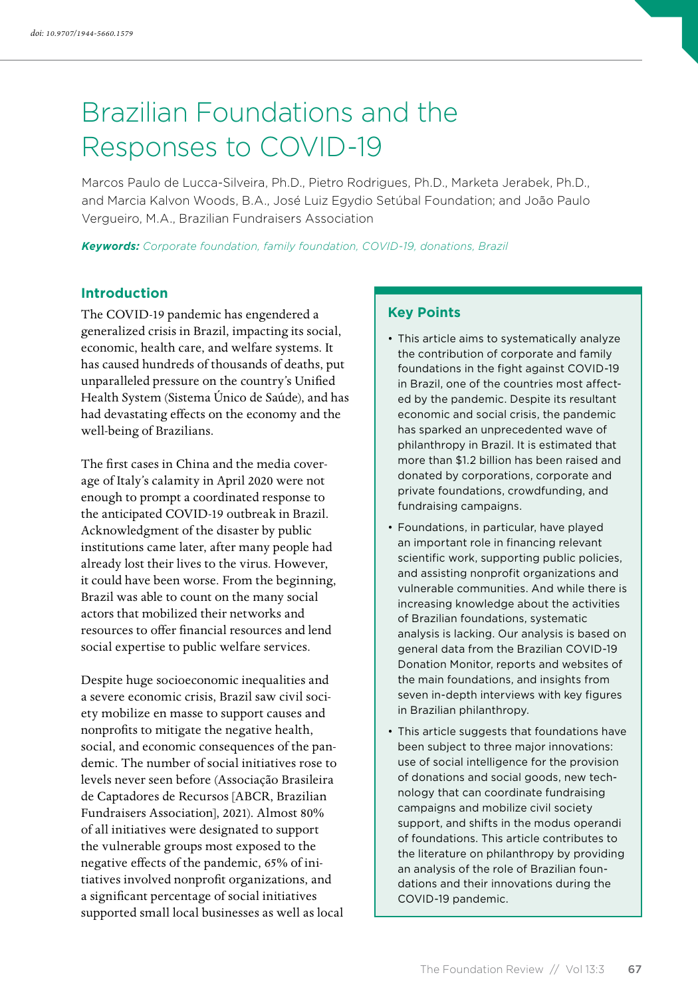# Brazilian Foundations and the Responses to COVID-19

Marcos Paulo de Lucca-Silveira, Ph.D., Pietro Rodrigues, Ph.D., Marketa Jerabek, Ph.D., and Marcia Kalvon Woods, B.A., José Luiz Egydio Setúbal Foundation; and João Paulo Vergueiro, M.A., Brazilian Fundraisers Association

*Keywords: Corporate foundation, family foundation, COVID-19, donations, Brazil*

# **Introduction**

The COVID-19 pandemic has engendered a generalized crisis in Brazil, impacting its social, economic, health care, and welfare systems. It has caused hundreds of thousands of deaths, put unparalleled pressure on the country's Unified Health System (Sistema Único de Saúde), and has had devastating effects on the economy and the well-being of Brazilians.

The first cases in China and the media coverage of Italy's calamity in April 2020 were not enough to prompt a coordinated response to the anticipated COVID-19 outbreak in Brazil. Acknowledgment of the disaster by public institutions came later, after many people had already lost their lives to the virus. However, it could have been worse. From the beginning, Brazil was able to count on the many social actors that mobilized their networks and resources to offer financial resources and lend social expertise to public welfare services.

Despite huge socioeconomic inequalities and a severe economic crisis, Brazil saw civil society mobilize en masse to support causes and nonprofits to mitigate the negative health, social, and economic consequences of the pandemic. The number of social initiatives rose to levels never seen before (Associação Brasileira de Captadores de Recursos [ABCR, Brazilian Fundraisers Association], 2021). Almost 80% of all initiatives were designated to support the vulnerable groups most exposed to the negative effects of the pandemic, 65% of initiatives involved nonprofit organizations, and a significant percentage of social initiatives supported small local businesses as well as local

# **Key Points**

- This article aims to systematically analyze the contribution of corporate and family foundations in the fight against COVID-19 in Brazil, one of the countries most affected by the pandemic. Despite its resultant economic and social crisis, the pandemic has sparked an unprecedented wave of philanthropy in Brazil. It is estimated that more than \$1.2 billion has been raised and donated by corporations, corporate and private foundations, crowdfunding, and fundraising campaigns.
- Foundations, in particular, have played an important role in financing relevant scientific work, supporting public policies, and assisting nonprofit organizations and vulnerable communities. And while there is increasing knowledge about the activities of Brazilian foundations, systematic analysis is lacking. Our analysis is based on general data from the Brazilian COVID-19 Donation Monitor, reports and websites of the main foundations, and insights from seven in-depth interviews with key figures in Brazilian philanthropy.
- This article suggests that foundations have been subject to three major innovations: use of social intelligence for the provision of donations and social goods, new technology that can coordinate fundraising campaigns and mobilize civil society support, and shifts in the modus operandi of foundations. This article contributes to the literature on philanthropy by providing an analysis of the role of Brazilian foundations and their innovations during the COVID-19 pandemic.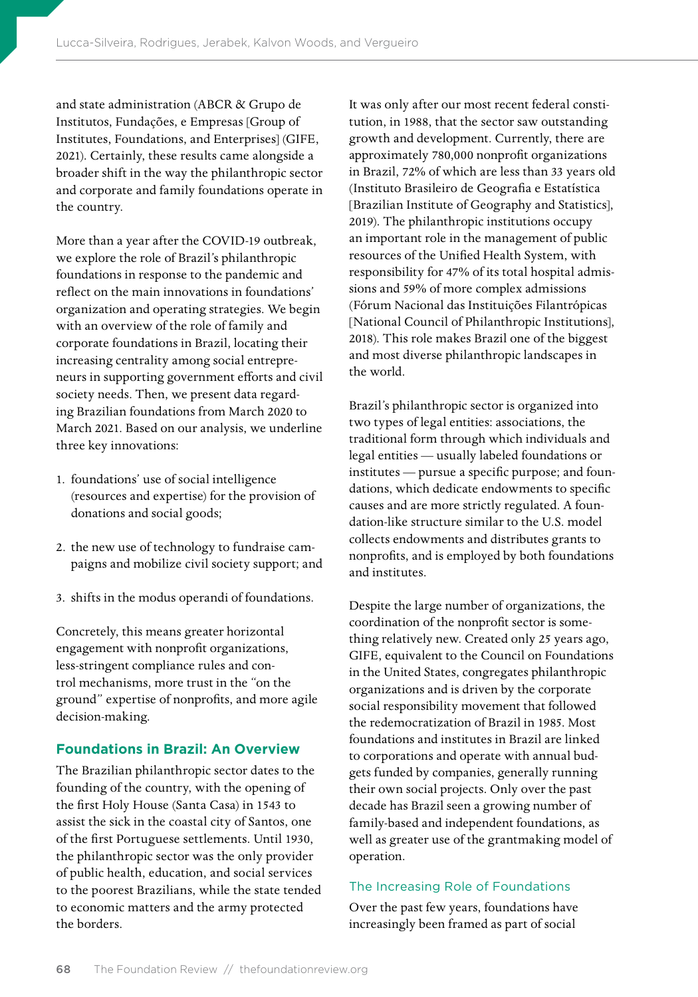and state administration (ABCR & Grupo de Institutos, Fundações, e Empresas [Group of Institutes, Foundations, and Enterprises] (GIFE, 2021). Certainly, these results came alongside a broader shift in the way the philanthropic sector and corporate and family foundations operate in the country.

More than a year after the COVID-19 outbreak, we explore the role of Brazil's philanthropic foundations in response to the pandemic and reflect on the main innovations in foundations' organization and operating strategies. We begin with an overview of the role of family and corporate foundations in Brazil, locating their increasing centrality among social entrepreneurs in supporting government efforts and civil society needs. Then, we present data regarding Brazilian foundations from March 2020 to March 2021. Based on our analysis, we underline three key innovations:

- 1. foundations' use of social intelligence (resources and expertise) for the provision of donations and social goods;
- 2. the new use of technology to fundraise campaigns and mobilize civil society support; and
- 3. shifts in the modus operandi of foundations.

Concretely, this means greater horizontal engagement with nonprofit organizations, less-stringent compliance rules and control mechanisms, more trust in the "on the ground" expertise of nonprofits, and more agile decision-making.

# **Foundations in Brazil: An Overview**

The Brazilian philanthropic sector dates to the founding of the country, with the opening of the first Holy House (Santa Casa) in 1543 to assist the sick in the coastal city of Santos, one of the first Portuguese settlements. Until 1930, the philanthropic sector was the only provider of public health, education, and social services to the poorest Brazilians, while the state tended to economic matters and the army protected the borders.

It was only after our most recent federal constitution, in 1988, that the sector saw outstanding growth and development. Currently, there are approximately 780,000 nonprofit organizations in Brazil, 72% of which are less than 33 years old (Instituto Brasileiro de Geografia e Estatística [Brazilian Institute of Geography and Statistics], 2019). The philanthropic institutions occupy an important role in the management of public resources of the Unified Health System, with responsibility for 47% of its total hospital admissions and 59% of more complex admissions (Fórum Nacional das Instituições Filantrópicas [National Council of Philanthropic Institutions], 2018). This role makes Brazil one of the biggest and most diverse philanthropic landscapes in the world.

Brazil's philanthropic sector is organized into two types of legal entities: associations, the traditional form through which individuals and legal entities — usually labeled foundations or institutes — pursue a specific purpose; and foundations, which dedicate endowments to specific causes and are more strictly regulated. A foundation-like structure similar to the U.S. model collects endowments and distributes grants to nonprofits, and is employed by both foundations and institutes.

Despite the large number of organizations, the coordination of the nonprofit sector is something relatively new. Created only 25 years ago, GIFE, equivalent to the Council on Foundations in the United States, congregates philanthropic organizations and is driven by the corporate social responsibility movement that followed the redemocratization of Brazil in 1985. Most foundations and institutes in Brazil are linked to corporations and operate with annual budgets funded by companies, generally running their own social projects. Only over the past decade has Brazil seen a growing number of family-based and independent foundations, as well as greater use of the grantmaking model of operation.

#### The Increasing Role of Foundations

Over the past few years, foundations have increasingly been framed as part of social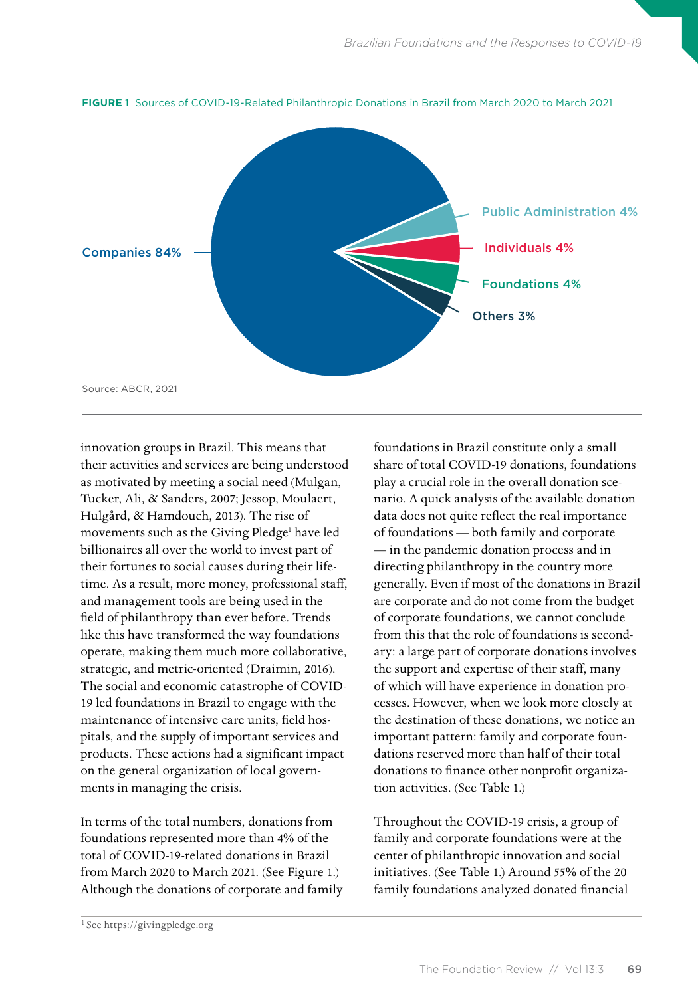

**FIGURE 1** Sources of COVID-19-Related Philanthropic Donations in Brazil from March 2020 to March 2021

innovation groups in Brazil. This means that their activities and services are being understood as motivated by meeting a social need (Mulgan, Tucker, Ali, & Sanders, 2007; Jessop, Moulaert, Hulgård, & Hamdouch, 2013). The rise of movements such as the Giving Pledge<sup>1</sup> have led billionaires all over the world to invest part of their fortunes to social causes during their lifetime. As a result, more money, professional staff, and management tools are being used in the field of philanthropy than ever before. Trends like this have transformed the way foundations operate, making them much more collaborative, strategic, and metric-oriented (Draimin, 2016). The social and economic catastrophe of COVID-19 led foundations in Brazil to engage with the maintenance of intensive care units, field hospitals, and the supply of important services and products. These actions had a significant impact on the general organization of local governments in managing the crisis.

In terms of the total numbers, donations from foundations represented more than 4% of the total of COVID-19-related donations in Brazil from March 2020 to March 2021. (See Figure 1.) Although the donations of corporate and family foundations in Brazil constitute only a small share of total COVID-19 donations, foundations play a crucial role in the overall donation scenario. A quick analysis of the available donation data does not quite reflect the real importance of foundations — both family and corporate — in the pandemic donation process and in directing philanthropy in the country more generally. Even if most of the donations in Brazil are corporate and do not come from the budget of corporate foundations, we cannot conclude from this that the role of foundations is secondary: a large part of corporate donations involves the support and expertise of their staff, many of which will have experience in donation processes. However, when we look more closely at the destination of these donations, we notice an important pattern: family and corporate foundations reserved more than half of their total donations to finance other nonprofit organization activities. (See Table 1.)

Throughout the COVID-19 crisis, a group of family and corporate foundations were at the center of philanthropic innovation and social initiatives. (See Table 1.) Around 55% of the 20 family foundations analyzed donated financial

<sup>&</sup>lt;sup>1</sup> See<https://givingpledge.org>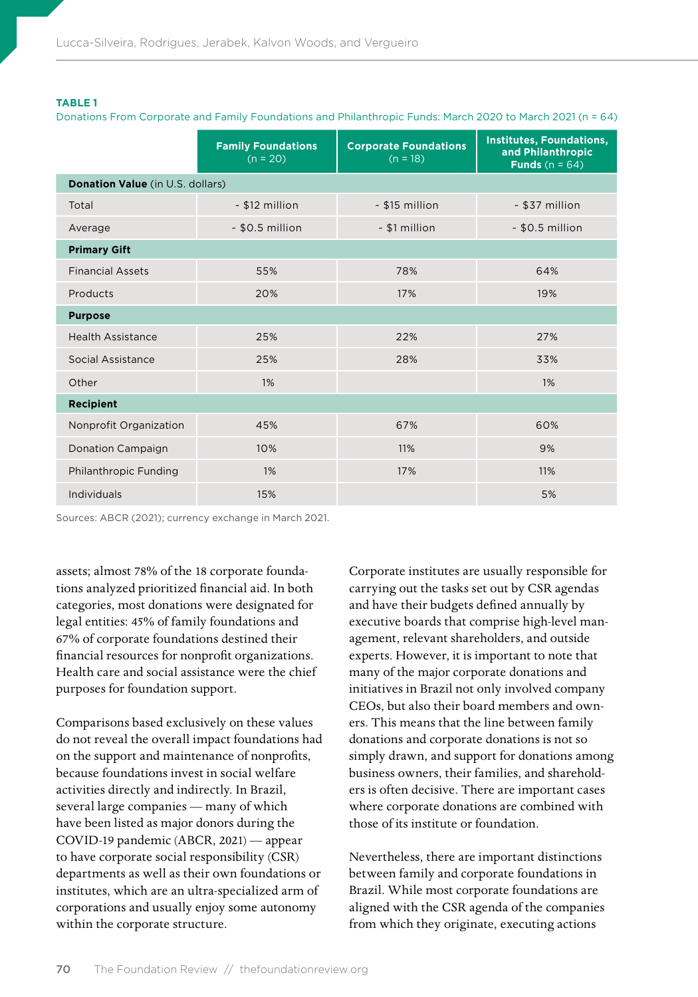#### **TABLE 1**

Donations From Corporate and Family Foundations and Philanthropic Funds: March 2020 to March 2021 (n = 64)

|                                         | <b>Family Foundations</b><br>$(n = 20)$ | <b>Corporate Foundations</b><br>$(n = 18)$ | <b>Institutes, Foundations,</b><br>and Philanthropic<br><b>Funds</b> $(n = 64)$ |
|-----------------------------------------|-----------------------------------------|--------------------------------------------|---------------------------------------------------------------------------------|
| <b>Donation Value</b> (in U.S. dollars) |                                         |                                            |                                                                                 |
| Total                                   | - \$12 million                          | $~515$ million                             | - \$37 million                                                                  |
| Average                                 | $-$ \$0.5 million                       | ~ \$1 million                              | $~50.5$ million                                                                 |
| <b>Primary Gift</b>                     |                                         |                                            |                                                                                 |
| <b>Financial Assets</b>                 | 55%                                     | 78%                                        | 64%                                                                             |
| Products                                | 20%                                     | 17%                                        | 19%                                                                             |
| <b>Purpose</b>                          |                                         |                                            |                                                                                 |
| <b>Health Assistance</b>                | 25%                                     | 22%                                        | 27%                                                                             |
| Social Assistance                       | 25%                                     | 28%                                        | 33%                                                                             |
| Other                                   | $1\%$                                   |                                            | 1%                                                                              |
| <b>Recipient</b>                        |                                         |                                            |                                                                                 |
| Nonprofit Organization                  | 45%                                     | 67%                                        | 60%                                                                             |
| <b>Donation Campaign</b>                | 10%                                     | 11%                                        | 9%                                                                              |
| Philanthropic Funding                   | 1%                                      | 17%                                        | 11%                                                                             |
| Individuals                             | 15%                                     |                                            | 5%                                                                              |

Sources: ABCR (2021); currency exchange in March 2021.

assets; almost 78% of the 18 corporate foundations analyzed prioritized financial aid. In both categories, most donations were designated for legal entities: 45% of family foundations and 67% of corporate foundations destined their financial resources for nonprofit organizations. Health care and social assistance were the chief purposes for foundation support.

Comparisons based exclusively on these values do not reveal the overall impact foundations had on the support and maintenance of nonprofits, because foundations invest in social welfare activities directly and indirectly. In Brazil, several large companies — many of which have been listed as major donors during the COVID-19 pandemic (ABCR, 2021) — appear to have corporate social responsibility (CSR) departments as well as their own foundations or institutes, which are an ultra-specialized arm of corporations and usually enjoy some autonomy within the corporate structure.

Corporate institutes are usually responsible for carrying out the tasks set out by CSR agendas and have their budgets defined annually by executive boards that comprise high-level management, relevant shareholders, and outside experts. However, it is important to note that many of the major corporate donations and initiatives in Brazil not only involved company CEOs, but also their board members and owners. This means that the line between family donations and corporate donations is not so simply drawn, and support for donations among business owners, their families, and shareholders is often decisive. There are important cases where corporate donations are combined with those of its institute or foundation.

Nevertheless, there are important distinctions between family and corporate foundations in Brazil. While most corporate foundations are aligned with the CSR agenda of the companies from which they originate, executing actions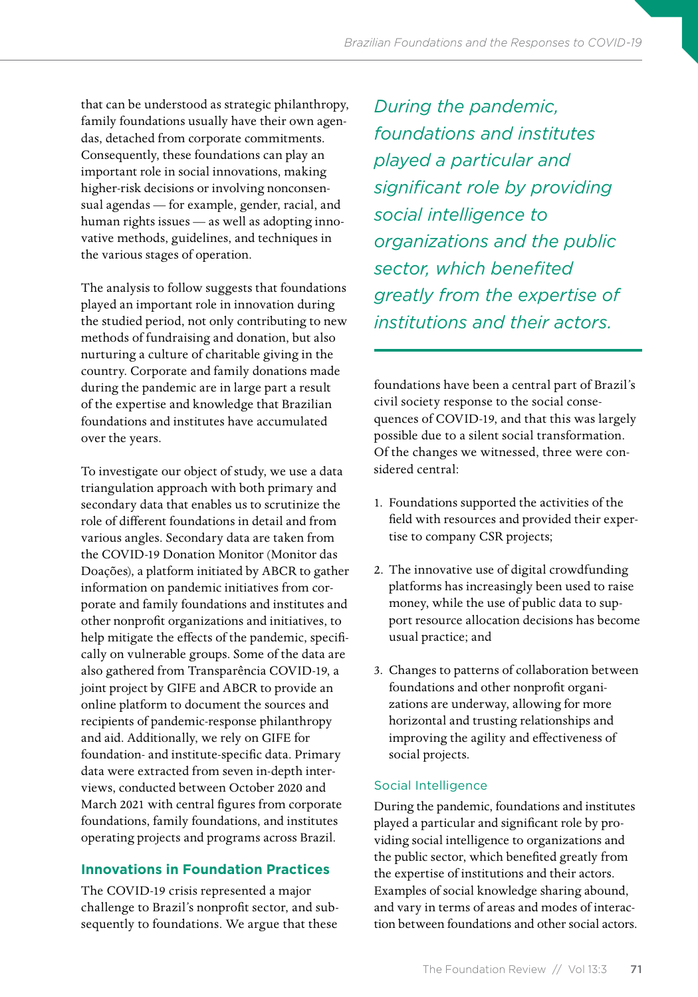that can be understood as strategic philanthropy, family foundations usually have their own agendas, detached from corporate commitments. Consequently, these foundations can play an important role in social innovations, making higher-risk decisions or involving nonconsensual agendas — for example, gender, racial, and human rights issues — as well as adopting innovative methods, guidelines, and techniques in the various stages of operation.

The analysis to follow suggests that foundations played an important role in innovation during the studied period, not only contributing to new methods of fundraising and donation, but also nurturing a culture of charitable giving in the country. Corporate and family donations made during the pandemic are in large part a result of the expertise and knowledge that Brazilian foundations and institutes have accumulated over the years.

To investigate our object of study, we use a data triangulation approach with both primary and secondary data that enables us to scrutinize the role of different foundations in detail and from various angles. Secondary data are taken from the COVID-19 Donation Monitor (Monitor das Doações), a platform initiated by ABCR to gather information on pandemic initiatives from corporate and family foundations and institutes and other nonprofit organizations and initiatives, to help mitigate the effects of the pandemic, specifically on vulnerable groups. Some of the data are also gathered from Transparência COVID-19, a joint project by GIFE and ABCR to provide an online platform to document the sources and recipients of pandemic-response philanthropy and aid. Additionally, we rely on GIFE for foundation- and institute-specific data. Primary data were extracted from seven in-depth interviews, conducted between October 2020 and March 2021 with central figures from corporate foundations, family foundations, and institutes operating projects and programs across Brazil.

# **Innovations in Foundation Practices**

The COVID-19 crisis represented a major challenge to Brazil's nonprofit sector, and subsequently to foundations. We argue that these

*During the pandemic, foundations and institutes played a particular and significant role by providing social intelligence to organizations and the public sector, which benefited greatly from the expertise of institutions and their actors.* 

foundations have been a central part of Brazil's civil society response to the social consequences of COVID-19, and that this was largely possible due to a silent social transformation. Of the changes we witnessed, three were considered central:

- 1. Foundations supported the activities of the field with resources and provided their expertise to company CSR projects;
- 2. The innovative use of digital crowdfunding platforms has increasingly been used to raise money, while the use of public data to support resource allocation decisions has become usual practice; and
- 3. Changes to patterns of collaboration between foundations and other nonprofit organizations are underway, allowing for more horizontal and trusting relationships and improving the agility and effectiveness of social projects.

# Social Intelligence

During the pandemic, foundations and institutes played a particular and significant role by providing social intelligence to organizations and the public sector, which benefited greatly from the expertise of institutions and their actors. Examples of social knowledge sharing abound, and vary in terms of areas and modes of interaction between foundations and other social actors.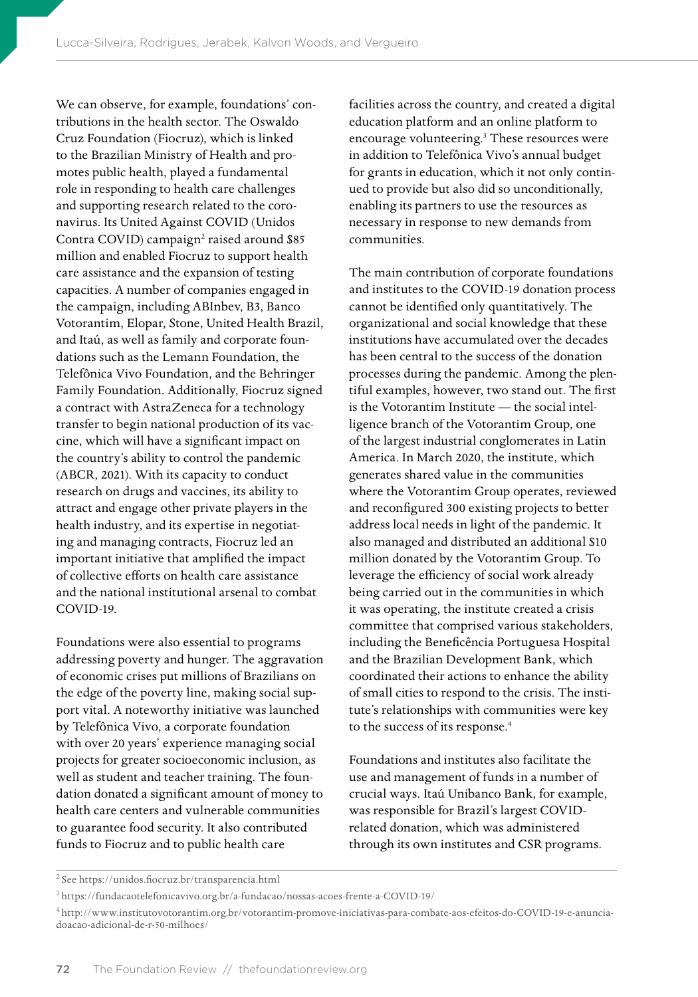We can observe, for example, foundations' contributions in the health sector. The Oswaldo Cruz Foundation (Fiocruz), which is linked to the Brazilian Ministry of Health and promotes public health, played a fundamental role in responding to health care challenges and supporting research related to the coronavirus. Its United Against COVID (Unidos Contra COVID) campaign<sup>2</sup> raised around \$85 million and enabled Fiocruz to support health care assistance and the expansion of testing capacities. A number of companies engaged in the campaign, including ABInbev, B3, Banco Votorantim, Elopar, Stone, United Health Brazil, and Itaú, as well as family and corporate foundations such as the Lemann Foundation, the Telefônica Vivo Foundation, and the Behringer Family Foundation. Additionally, Fiocruz signed a contract with AstraZeneca for a technology transfer to begin national production of its vaccine, which will have a significant impact on the country's ability to control the pandemic (ABCR, 2021). With its capacity to conduct research on drugs and vaccines, its ability to attract and engage other private players in the health industry, and its expertise in negotiating and managing contracts, Fiocruz led an important initiative that amplified the impact of collective efforts on health care assistance and the national institutional arsenal to combat COVID-19.

Foundations were also essential to programs addressing poverty and hunger. The aggravation of economic crises put millions of Brazilians on the edge of the poverty line, making social support vital. A noteworthy initiative was launched by Telefônica Vivo, a corporate foundation with over 20 years' experience managing social projects for greater socioeconomic inclusion, as well as student and teacher training. The foundation donated a significant amount of money to health care centers and vulnerable communities to guarantee food security. It also contributed funds to Fiocruz and to public health care

facilities across the country, and created a digital education platform and an online platform to encourage volunteering.<sup>3</sup> These resources were in addition to Telefônica Vivo's annual budget for grants in education, which it not only continued to provide but also did so unconditionally, enabling its partners to use the resources as necessary in response to new demands from communities.

The main contribution of corporate foundations and institutes to the COVID-19 donation process cannot be identified only quantitatively. The organizational and social knowledge that these institutions have accumulated over the decades has been central to the success of the donation processes during the pandemic. Among the plentiful examples, however, two stand out. The first is the Votorantim Institute — the social intelligence branch of the Votorantim Group, one of the largest industrial conglomerates in Latin America. In March 2020, the institute, which generates shared value in the communities where the Votorantim Group operates, reviewed and reconfigured 300 existing projects to better address local needs in light of the pandemic. It also managed and distributed an additional \$10 million donated by the Votorantim Group. To leverage the efficiency of social work already being carried out in the communities in which it was operating, the institute created a crisis committee that comprised various stakeholders, including the Beneficência Portuguesa Hospital and the Brazilian Development Bank, which coordinated their actions to enhance the ability of small cities to respond to the crisis. The institute's relationships with communities were key to the success of its response.<sup>4</sup>

Foundations and institutes also facilitate the use and management of funds in a number of crucial ways. Itaú Unibanco Bank, for example, was responsible for Brazil's largest COVIDrelated donation, which was administered through its own institutes and CSR programs.

<sup>2</sup>See<https://unidos.fiocruz.br/transparencia.html>

<sup>3</sup><https://fundacaotelefonicavivo.org.br/a-fundacao/nossas-acoes-frente-a-COVID-19/>

<sup>4</sup> [http://www.institutovotorantim.org.br/votorantim-promove-iniciativas-para-combate-aos-efeitos-do-COVID-19-e-anuncia](http://www.institutovotorantim.org.br/votorantim-promove-iniciativas-para-combate-aos-efeitos-do-COVID-19-e-anuncia-doacao-adicional-de-r-50-milhoes/)[doacao-adicional-de-r-50-milhoes/](http://www.institutovotorantim.org.br/votorantim-promove-iniciativas-para-combate-aos-efeitos-do-COVID-19-e-anuncia-doacao-adicional-de-r-50-milhoes/)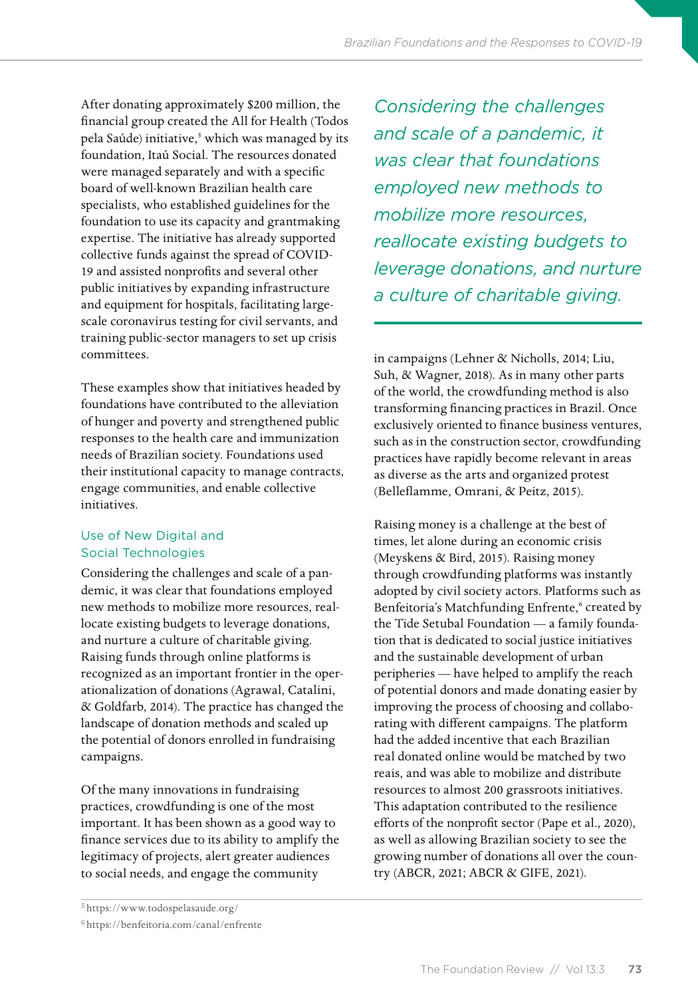After donating approximately \$200 million, the financial group created the All for Health (Todos pela Saúde) initiative,<sup>5</sup> which was managed by its foundation, Itaú Social. The resources donated were managed separately and with a specific board of well-known Brazilian health care specialists, who established guidelines for the foundation to use its capacity and grantmaking expertise. The initiative has already supported collective funds against the spread of COVID-19 and assisted nonprofits and several other public initiatives by expanding infrastructure and equipment for hospitals, facilitating largescale coronavirus testing for civil servants, and training public-sector managers to set up crisis committees.

These examples show that initiatives headed by foundations have contributed to the alleviation of hunger and poverty and strengthened public responses to the health care and immunization needs of Brazilian society. Foundations used their institutional capacity to manage contracts, engage communities, and enable collective initiatives.

# Use of New Digital and Social Technologies

Considering the challenges and scale of a pandemic, it was clear that foundations employed new methods to mobilize more resources, reallocate existing budgets to leverage donations, and nurture a culture of charitable giving. Raising funds through online platforms is recognized as an important frontier in the operationalization of donations (Agrawal, Catalini, & Goldfarb, 2014). The practice has changed the landscape of donation methods and scaled up the potential of donors enrolled in fundraising campaigns.

Of the many innovations in fundraising practices, crowdfunding is one of the most important. It has been shown as a good way to finance services due to its ability to amplify the legitimacy of projects, alert greater audiences to social needs, and engage the community

<sup>5</sup><https://www.todospelasaude.org/>

*Considering the challenges and scale of a pandemic, it was clear that foundations employed new methods to mobilize more resources, reallocate existing budgets to leverage donations, and nurture a culture of charitable giving.*

in campaigns (Lehner & Nicholls, 2014; Liu, Suh, & Wagner, 2018). As in many other parts of the world, the crowdfunding method is also transforming financing practices in Brazil. Once exclusively oriented to finance business ventures, such as in the construction sector, crowdfunding practices have rapidly become relevant in areas as diverse as the arts and organized protest (Belleflamme, Omrani, & Peitz, 2015).

Raising money is a challenge at the best of times, let alone during an economic crisis (Meyskens & Bird, 2015). Raising money through crowdfunding platforms was instantly adopted by civil society actors. Platforms such as Benfeitoria's Matchfunding Enfrente,<sup>6</sup> created by the Tide Setubal Foundation — a family foundation that is dedicated to social justice initiatives and the sustainable development of urban peripheries — have helped to amplify the reach of potential donors and made donating easier by improving the process of choosing and collaborating with different campaigns. The platform had the added incentive that each Brazilian real donated online would be matched by two reais, and was able to mobilize and distribute resources to almost 200 grassroots initiatives. This adaptation contributed to the resilience efforts of the nonprofit sector (Pape et al., 2020), as well as allowing Brazilian society to see the growing number of donations all over the country (ABCR, 2021; ABCR & GIFE, 2021).

<sup>6</sup><https://benfeitoria.com/canal/enfrente>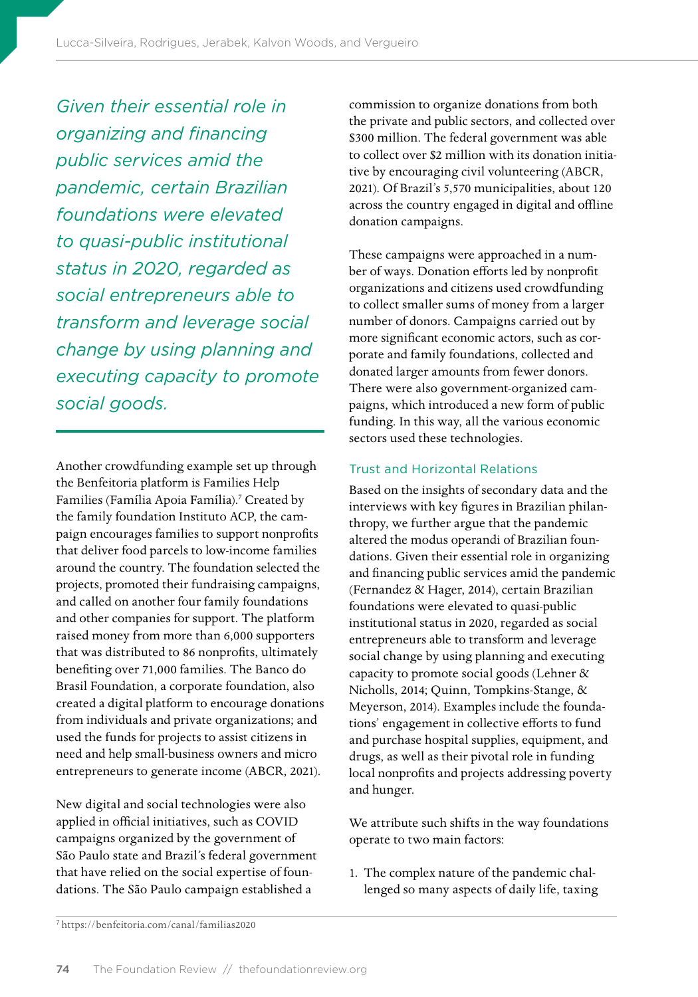*Given their essential role in organizing and financing public services amid the pandemic, certain Brazilian foundations were elevated to quasi-public institutional status in 2020, regarded as social entrepreneurs able to transform and leverage social change by using planning and executing capacity to promote social goods.*

Another crowdfunding example set up through the Benfeitoria platform is Families Help Families (Família Apoia Família).<sup>7</sup> Created by the family foundation Instituto ACP, the campaign encourages families to support nonprofits that deliver food parcels to low-income families around the country. The foundation selected the projects, promoted their fundraising campaigns, and called on another four family foundations and other companies for support. The platform raised money from more than 6,000 supporters that was distributed to 86 nonprofits, ultimately benefiting over 71,000 families. The Banco do Brasil Foundation, a corporate foundation, also created a digital platform to encourage donations from individuals and private organizations; and used the funds for projects to assist citizens in need and help small-business owners and micro entrepreneurs to generate income (ABCR, 2021).

New digital and social technologies were also applied in official initiatives, such as COVID campaigns organized by the government of São Paulo state and Brazil's federal government that have relied on the social expertise of foundations. The São Paulo campaign established a

commission to organize donations from both the private and public sectors, and collected over \$300 million. The federal government was able to collect over \$2 million with its donation initiative by encouraging civil volunteering (ABCR, 2021). Of Brazil's 5,570 municipalities, about 120 across the country engaged in digital and offline donation campaigns.

These campaigns were approached in a number of ways. Donation efforts led by nonprofit organizations and citizens used crowdfunding to collect smaller sums of money from a larger number of donors. Campaigns carried out by more significant economic actors, such as corporate and family foundations, collected and donated larger amounts from fewer donors. There were also government-organized campaigns, which introduced a new form of public funding. In this way, all the various economic sectors used these technologies.

# Trust and Horizontal Relations

Based on the insights of secondary data and the interviews with key figures in Brazilian philanthropy, we further argue that the pandemic altered the modus operandi of Brazilian foundations. Given their essential role in organizing and financing public services amid the pandemic (Fernandez & Hager, 2014), certain Brazilian foundations were elevated to quasi-public institutional status in 2020, regarded as social entrepreneurs able to transform and leverage social change by using planning and executing capacity to promote social goods (Lehner & Nicholls, 2014; Quinn, Tompkins-Stange, & Meyerson, 2014). Examples include the foundations' engagement in collective efforts to fund and purchase hospital supplies, equipment, and drugs, as well as their pivotal role in funding local nonprofits and projects addressing poverty and hunger.

We attribute such shifts in the way foundations operate to two main factors:

1. The complex nature of the pandemic challenged so many aspects of daily life, taxing

<sup>7</sup><https://benfeitoria.com/canal/familias2020>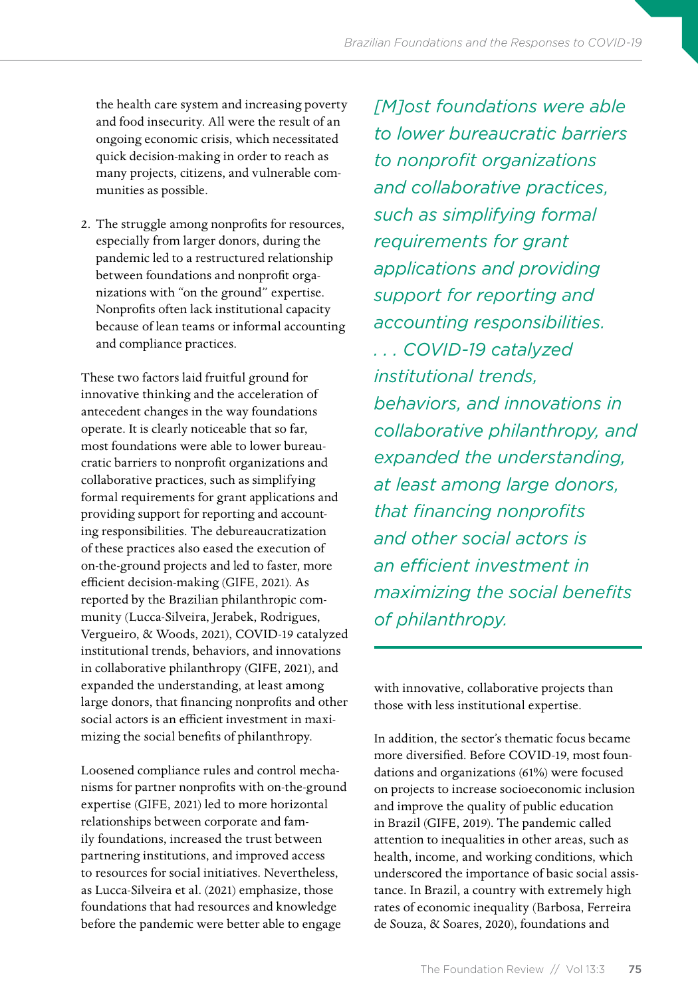the health care system and increasing poverty and food insecurity. All were the result of an ongoing economic crisis, which necessitated quick decision-making in order to reach as many projects, citizens, and vulnerable communities as possible.

2. The struggle among nonprofits for resources, especially from larger donors, during the pandemic led to a restructured relationship between foundations and nonprofit organizations with "on the ground" expertise. Nonprofits often lack institutional capacity because of lean teams or informal accounting and compliance practices.

These two factors laid fruitful ground for innovative thinking and the acceleration of antecedent changes in the way foundations operate. It is clearly noticeable that so far, most foundations were able to lower bureaucratic barriers to nonprofit organizations and collaborative practices, such as simplifying formal requirements for grant applications and providing support for reporting and accounting responsibilities. The debureaucratization of these practices also eased the execution of on-the-ground projects and led to faster, more efficient decision-making (GIFE, 2021). As reported by the Brazilian philanthropic community (Lucca-Silveira, Jerabek, Rodrigues, Vergueiro, & Woods, 2021), COVID-19 catalyzed institutional trends, behaviors, and innovations in collaborative philanthropy (GIFE, 2021), and expanded the understanding, at least among large donors, that financing nonprofits and other social actors is an efficient investment in maximizing the social benefits of philanthropy.

Loosened compliance rules and control mechanisms for partner nonprofits with on-the-ground expertise (GIFE, 2021) led to more horizontal relationships between corporate and family foundations, increased the trust between partnering institutions, and improved access to resources for social initiatives. Nevertheless, as Lucca-Silveira et al. (2021) emphasize, those foundations that had resources and knowledge before the pandemic were better able to engage

*[M]ost foundations were able to lower bureaucratic barriers to nonprofit organizations and collaborative practices, such as simplifying formal requirements for grant applications and providing support for reporting and accounting responsibilities. . . . COVID-19 catalyzed institutional trends, behaviors, and innovations in collaborative philanthropy, and expanded the understanding, at least among large donors, that financing nonprofits and other social actors is an efficient investment in maximizing the social benefits of philanthropy.*

with innovative, collaborative projects than those with less institutional expertise.

In addition, the sector's thematic focus became more diversified. Before COVID-19, most foundations and organizations (61%) were focused on projects to increase socioeconomic inclusion and improve the quality of public education in Brazil (GIFE, 2019). The pandemic called attention to inequalities in other areas, such as health, income, and working conditions, which underscored the importance of basic social assistance. In Brazil, a country with extremely high rates of economic inequality (Barbosa, Ferreira de Souza, & Soares, 2020), foundations and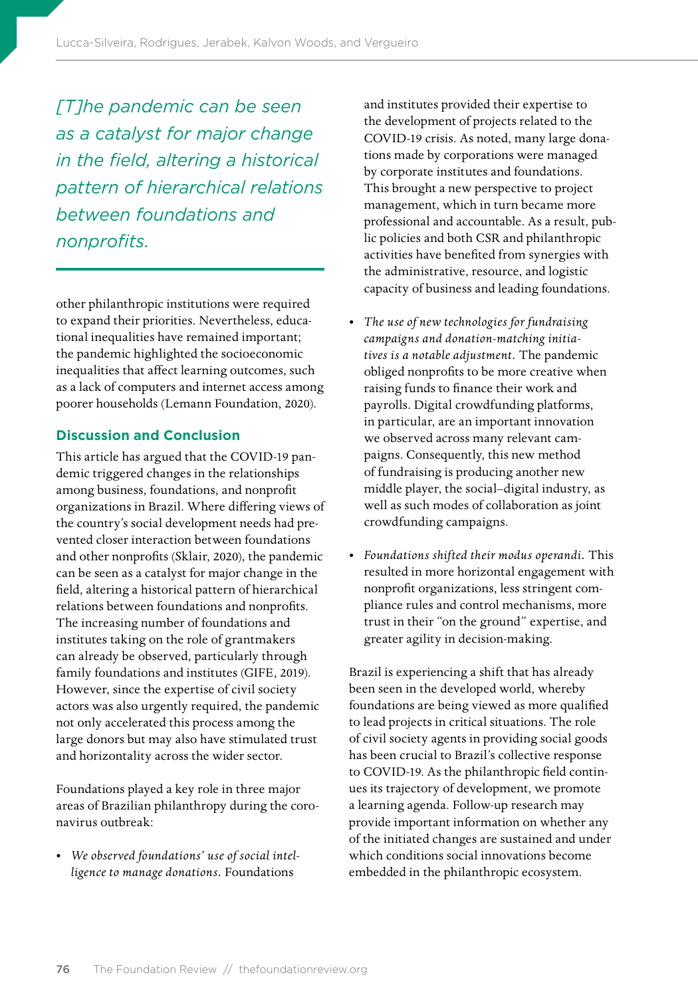*[T]he pandemic can be seen as a catalyst for major change in the field, altering a historical pattern of hierarchical relations between foundations and nonprofits.*

other philanthropic institutions were required to expand their priorities. Nevertheless, educational inequalities have remained important; the pandemic highlighted the socioeconomic inequalities that affect learning outcomes, such as a lack of computers and internet access among poorer households (Lemann Foundation, 2020).

### **Discussion and Conclusion**

This article has argued that the COVID-19 pandemic triggered changes in the relationships among business, foundations, and nonprofit organizations in Brazil. Where differing views of the country's social development needs had prevented closer interaction between foundations and other nonprofits (Sklair, 2020), the pandemic can be seen as a catalyst for major change in the field, altering a historical pattern of hierarchical relations between foundations and nonprofits. The increasing number of foundations and institutes taking on the role of grantmakers can already be observed, particularly through family foundations and institutes (GIFE, 2019). However, since the expertise of civil society actors was also urgently required, the pandemic not only accelerated this process among the large donors but may also have stimulated trust and horizontality across the wider sector.

Foundations played a key role in three major areas of Brazilian philanthropy during the coronavirus outbreak:

• *We observed foundations' use of social intelligence to manage donations.* Foundations

and institutes provided their expertise to the development of projects related to the COVID-19 crisis. As noted, many large donations made by corporations were managed by corporate institutes and foundations. This brought a new perspective to project management, which in turn became more professional and accountable. As a result, public policies and both CSR and philanthropic activities have benefited from synergies with the administrative, resource, and logistic capacity of business and leading foundations.

- *The use of new technologies for fundraising campaigns and donation-matching initiatives is a notable adjustment.* The pandemic obliged nonprofits to be more creative when raising funds to finance their work and payrolls. Digital crowdfunding platforms, in particular, are an important innovation we observed across many relevant campaigns. Consequently, this new method of fundraising is producing another new middle player, the social–digital industry, as well as such modes of collaboration as joint crowdfunding campaigns.
- *Foundations shifted their modus operandi.* This resulted in more horizontal engagement with nonprofit organizations, less stringent compliance rules and control mechanisms, more trust in their "on the ground" expertise, and greater agility in decision-making.

Brazil is experiencing a shift that has already been seen in the developed world, whereby foundations are being viewed as more qualified to lead projects in critical situations. The role of civil society agents in providing social goods has been crucial to Brazil's collective response to COVID-19. As the philanthropic field continues its trajectory of development, we promote a learning agenda. Follow-up research may provide important information on whether any of the initiated changes are sustained and under which conditions social innovations become embedded in the philanthropic ecosystem.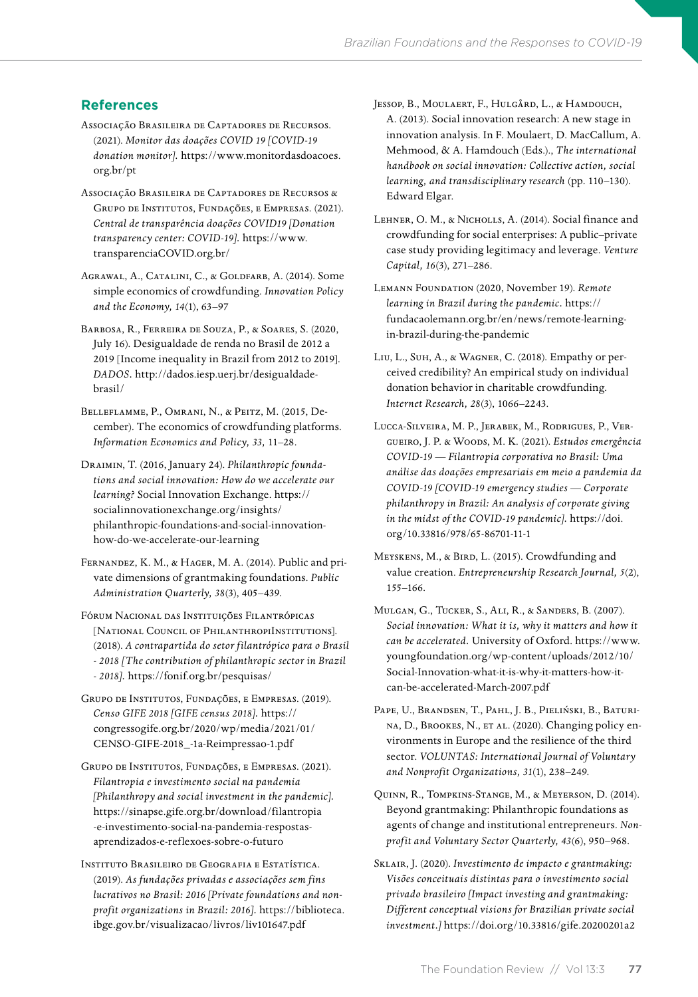# **References**

- Associação Brasileira de Captadores de Recursos. (2021). *Monitor das doações COVID 19 [COVID-19 donation monitor].* [https://www.monitordasdoacoes.](https://www.monitordasdoacoes.org.br/pt) [org.br/pt](https://www.monitordasdoacoes.org.br/pt)
- Associação Brasileira de Captadores de Recursos & Grupo de Institutos, Fundações, e Empresas. (2021). *Central de transparência doações COVID19 [Donation transparency center: COVID-19].* [https://www.](https://www.transparenciaCOVID.org.br/) [transparenciaCOVID.org.br/](https://www.transparenciaCOVID.org.br/)
- Agrawal, A., Catalini, C., & Goldfarb, A. (2014). Some simple economics of crowdfunding. *Innovation Policy and the Economy, 14*(1), 63–97
- Barbosa, R., Ferreira de Souza, P., & Soares, S. (2020, July 16). Desigualdade de renda no Brasil de 2012 a 2019 [Income inequality in Brazil from 2012 to 2019]. *DADOS.* [http://dados.iesp.uerj.br/desigualdade](http://dados.iesp.uerj.br/desigualdade-brasil/)[brasil/](http://dados.iesp.uerj.br/desigualdade-brasil/)
- Belleflamme, P., Omrani, N., & Peitz, M. (2015, December). The economics of crowdfunding platforms. *Information Economics and Policy, 33,* 11–28.
- Draimin, T. (2016, January 24). *Philanthropic foundations and social innovation: How do we accelerate our learning?* Social Innovation Exchange. [https://](https://socialinnovationexchange.org/insights/philanthropic-foundations-and-social-innovation-how-do-we-accelerate-our-learning) [socialinnovationexchange.org/insights/](https://socialinnovationexchange.org/insights/philanthropic-foundations-and-social-innovation-how-do-we-accelerate-our-learning) [philanthropic-foundations-and-social-innovation](https://socialinnovationexchange.org/insights/philanthropic-foundations-and-social-innovation-how-do-we-accelerate-our-learning)[how-do-we-accelerate-our-learning](https://socialinnovationexchange.org/insights/philanthropic-foundations-and-social-innovation-how-do-we-accelerate-our-learning)
- Fernandez, K. M., & Hager, M. A. (2014). Public and private dimensions of grantmaking foundations. *Public Administration Quarterly, 38*(3), 405–439.
- Fórum Nacional das Instituições Filantrópicas [NATIONAL COUNCIL OF PHILANTHROPIINSTITUTIONS]. (2018). *A contrapartida do setor filantrópico para o Brasil - 2018 [The contribution of philanthropic sector in Brazil - 2018].*<https://fonif.org.br/pesquisas/>
- Grupo de Institutos, Fundações, e Empresas. (2019). *Censo GIFE 2018 [GIFE census 2018].* [https://](https://congressogife.org.br/2020/wp/media/2021/01/CENSO-GIFE-2018_-1a-Reimpressao-1.pdf) [congressogife.org.br/2020/wp/media/2021/01/](https://congressogife.org.br/2020/wp/media/2021/01/CENSO-GIFE-2018_-1a-Reimpressao-1.pdf) [CENSO-GIFE-2018\\_-1a-Reimpressao-1.pdf](https://congressogife.org.br/2020/wp/media/2021/01/CENSO-GIFE-2018_-1a-Reimpressao-1.pdf)
- Grupo de Institutos, Fundações, e Empresas. (2021). *Filantropia e investimento social na pandemia [Philanthropy and social investment in the pandemic].* [https://sinapse.gife.org.br/download/filantropia](https://sinapse.gife.org.br/download/filantropia-e-investimento-social-na-pandemia-respostas-aprendizados-e-reflexoes-sobre-o-futuro) [-e-investimento-social-na-pandemia-respostas](https://sinapse.gife.org.br/download/filantropia-e-investimento-social-na-pandemia-respostas-aprendizados-e-reflexoes-sobre-o-futuro)[aprendizados-e-reflexoes-sobre-o-futuro](https://sinapse.gife.org.br/download/filantropia-e-investimento-social-na-pandemia-respostas-aprendizados-e-reflexoes-sobre-o-futuro)
- Instituto Brasileiro de Geografia e Estatística. (2019). *As fundações privadas e associações sem fins lucrativos no Brasil: 2016 [Private foundations and nonprofit organizations in Brazil: 2016].* [https://biblioteca.](https://biblioteca.ibge.gov.br/visualizacao/livros/liv101647.pdf) [ibge.gov.br/visualizacao/livros/liv101647.pdf](https://biblioteca.ibge.gov.br/visualizacao/livros/liv101647.pdf)
- Jessop, B., Moulaert, F., Hulgård, L., & Hamdouch, A. (2013). Social innovation research: A new stage in innovation analysis. In F. Moulaert, D. MacCallum, A. Mehmood, & A. Hamdouch (Eds.)., *The international handbook on social innovation: Collective action, social learning, and transdisciplinary research* (pp. 110–130). Edward Elgar.
- Lehner, O. M., & Nicholls, A. (2014). Social finance and crowdfunding for social enterprises: A public–private case study providing legitimacy and leverage. *Venture Capital, 16*(3), 271–286.
- Lemann Foundation (2020, November 19). *Remote learning in Brazil during the pandemic.* [https://](https://fundacaolemann.org.br/en/news/remote-learning-in-brazil-during-the-pandemic) [fundacaolemann.org.br/en/news/remote-learning](https://fundacaolemann.org.br/en/news/remote-learning-in-brazil-during-the-pandemic)[in-brazil-during-the-pandemic](https://fundacaolemann.org.br/en/news/remote-learning-in-brazil-during-the-pandemic)
- Liu, L., Suh, A., & Wagner, C. (2018). Empathy or perceived credibility? An empirical study on individual donation behavior in charitable crowdfunding. *Internet Research, 28*(3), 1066–2243.
- Lucca-Silveira, M. P., Jerabek, M., Rodrigues, P., Vergueiro, J. P. & Woods, M. K. (2021). *Estudos emergência COVID-19 — Filantropia corporativa no Brasil: Uma análise das doações empresariais em meio a pandemia da COVID-19 [COVID-19 emergency studies — Corporate philanthropy in Brazil: An analysis of corporate giving in the midst of the COVID-19 pandemic].* [https://doi.](https://doi.org/10.33816/978-65-86701-11-1) [org/10.33816/978/65-86701-11-1](https://doi.org/10.33816/978-65-86701-11-1)
- MEYSKENS, M., & BIRD, L. (2015). Crowdfunding and value creation. *Entrepreneurship Research Journal, 5*(2), 155–166.
- Mulgan, G., Tucker, S., Ali, R., & Sanders, B. (2007). *Social innovation: What it is, why it matters and how it can be accelerated.* University of Oxford. [https://www.](https://www.youngfoundation.org/wp-content/uploads/2012/10/Social-Innovation-what-it-is-why-it-matters-how-it-can-be-accelerated-March-2007.pdf) [youngfoundation.org/wp-content/uploads/2012/10/](https://www.youngfoundation.org/wp-content/uploads/2012/10/Social-Innovation-what-it-is-why-it-matters-how-it-can-be-accelerated-March-2007.pdf) [Social-Innovation-what-it-is-why-it-matters-how-it](https://www.youngfoundation.org/wp-content/uploads/2012/10/Social-Innovation-what-it-is-why-it-matters-how-it-can-be-accelerated-March-2007.pdf)[can-be-accelerated-March-2007.pdf](https://www.youngfoundation.org/wp-content/uploads/2012/10/Social-Innovation-what-it-is-why-it-matters-how-it-can-be-accelerated-March-2007.pdf)
- Pape, U., Brandsen, T., Pahl, J. B., Pieliński, B., Baturina, D., Brookes, N., et al. (2020). Changing policy environments in Europe and the resilience of the third sector. *VOLUNTAS: International Journal of Voluntary and Nonprofit Organizations, 31*(1), 238–249.
- Quinn, R., Tompkins-Stange, M., & Meyerson, D. (2014). Beyond grantmaking: Philanthropic foundations as agents of change and institutional entrepreneurs. *Nonprofit and Voluntary Sector Quarterly, 43*(6), 950–968.
- Sklair, J. (2020). *Investimento de impacto e grantmaking: Visões conceituais distintas para o investimento social privado brasileiro [Impact investing and grantmaking: Different conceptual visions for Brazilian private social investment.]* <https://doi.org/10.33816/gife.20200201a2>